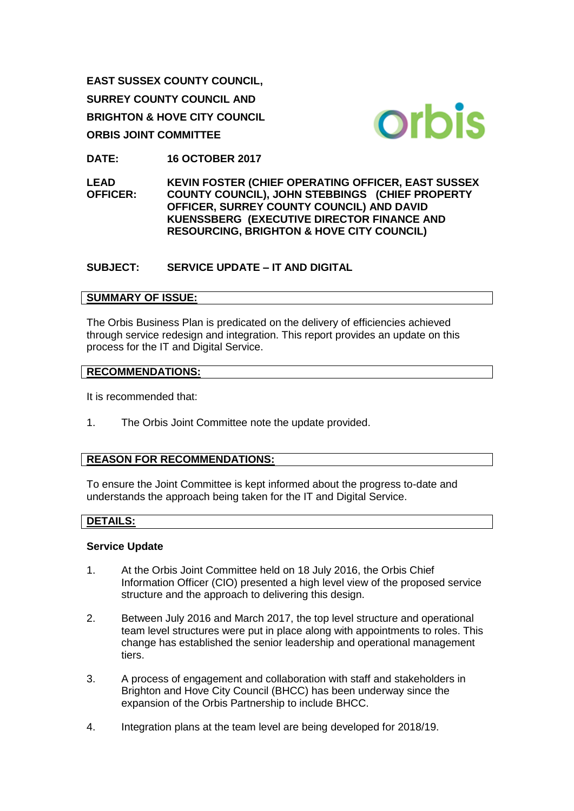**EAST SUSSEX COUNTY COUNCIL, SURREY COUNTY COUNCIL AND BRIGHTON & HOVE CITY COUNCIL ORBIS JOINT COMMITTEE**



**DATE: 16 OCTOBER 2017** 

**LEAD OFFICER: KEVIN FOSTER (CHIEF OPERATING OFFICER, EAST SUSSEX COUNTY COUNCIL), JOHN STEBBINGS (CHIEF PROPERTY OFFICER, SURREY COUNTY COUNCIL) AND DAVID KUENSSBERG (EXECUTIVE DIRECTOR FINANCE AND RESOURCING, BRIGHTON & HOVE CITY COUNCIL)** 

## **SUBJECT: SERVICE UPDATE – IT AND DIGITAL**

### **SUMMARY OF ISSUE:**

The Orbis Business Plan is predicated on the delivery of efficiencies achieved through service redesign and integration. This report provides an update on this process for the IT and Digital Service.

### **RECOMMENDATIONS:**

It is recommended that:

1. The Orbis Joint Committee note the update provided.

# **REASON FOR RECOMMENDATIONS:**

To ensure the Joint Committee is kept informed about the progress to-date and understands the approach being taken for the IT and Digital Service.

### **DETAILS:**

### **Service Update**

- 1. At the Orbis Joint Committee held on 18 July 2016, the Orbis Chief Information Officer (CIO) presented a high level view of the proposed service structure and the approach to delivering this design.
- 2. Between July 2016 and March 2017, the top level structure and operational team level structures were put in place along with appointments to roles. This change has established the senior leadership and operational management tiers.
- 3. A process of engagement and collaboration with staff and stakeholders in Brighton and Hove City Council (BHCC) has been underway since the expansion of the Orbis Partnership to include BHCC.
- 4. Integration plans at the team level are being developed for 2018/19.